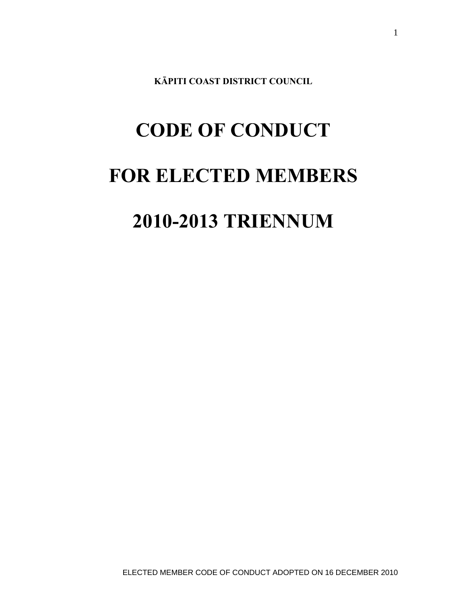**KĀPITI COAST DISTRICT COUNCIL** 

# **CODE OF CONDUCT FOR ELECTED MEMBERS 2010-2013 TRIENNUM**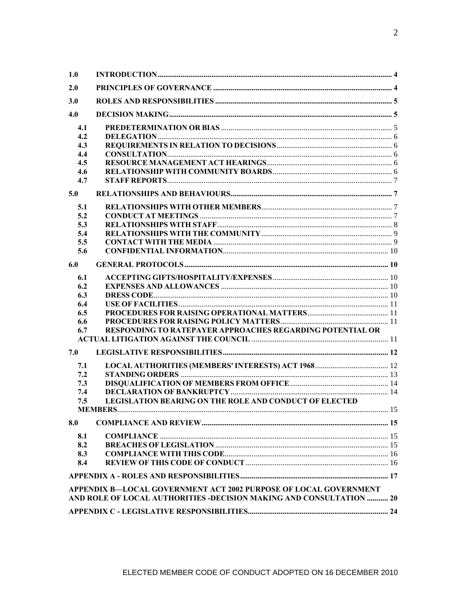| 1.0                                                              |                                                                     |  |
|------------------------------------------------------------------|---------------------------------------------------------------------|--|
| 2.0                                                              |                                                                     |  |
| 3.0                                                              |                                                                     |  |
| 4.0                                                              |                                                                     |  |
| 4.1                                                              |                                                                     |  |
| 4.2                                                              |                                                                     |  |
| 4.3                                                              |                                                                     |  |
| 4.4                                                              |                                                                     |  |
| 4.5                                                              |                                                                     |  |
| 4.6                                                              |                                                                     |  |
| 4.7                                                              |                                                                     |  |
| 5.0                                                              |                                                                     |  |
| 5.1                                                              |                                                                     |  |
| 5.2                                                              |                                                                     |  |
| 5.3                                                              |                                                                     |  |
| 5.4                                                              |                                                                     |  |
| 5.5                                                              |                                                                     |  |
| 5.6                                                              |                                                                     |  |
| 6.0                                                              |                                                                     |  |
| 6.1                                                              |                                                                     |  |
| 6.2                                                              |                                                                     |  |
| 6.3                                                              |                                                                     |  |
| 6.4                                                              |                                                                     |  |
| 6.5                                                              |                                                                     |  |
| 6.6                                                              |                                                                     |  |
| 6.7                                                              | RESPONDING TO RATEPAYER APPROACHES REGARDING POTENTIAL OR           |  |
|                                                                  |                                                                     |  |
| 7.0                                                              |                                                                     |  |
| 7.1                                                              |                                                                     |  |
| 7.2                                                              |                                                                     |  |
| 7.3                                                              |                                                                     |  |
| 7.4                                                              |                                                                     |  |
| 7.5                                                              | <b>LEGISLATION BEARING ON THE ROLE AND CONDUCT OF ELECTED</b>       |  |
|                                                                  | <b>MEMBERS</b>                                                      |  |
| 8.0                                                              |                                                                     |  |
| 8.1                                                              |                                                                     |  |
| 8.2                                                              |                                                                     |  |
| 8.3                                                              |                                                                     |  |
| 8.4                                                              |                                                                     |  |
|                                                                  |                                                                     |  |
| APPENDIX B-LOCAL GOVERNMENT ACT 2002 PURPOSE OF LOCAL GOVERNMENT |                                                                     |  |
|                                                                  | AND ROLE OF LOCAL AUTHORITIES -DECISION MAKING AND CONSULTATION  20 |  |
|                                                                  |                                                                     |  |
|                                                                  |                                                                     |  |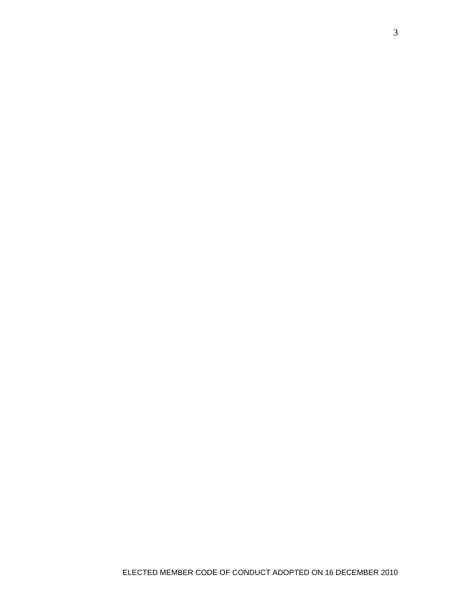ELECTED MEMBER CODE OF CONDUCT ADOPTED ON 16 DECEMBER 2010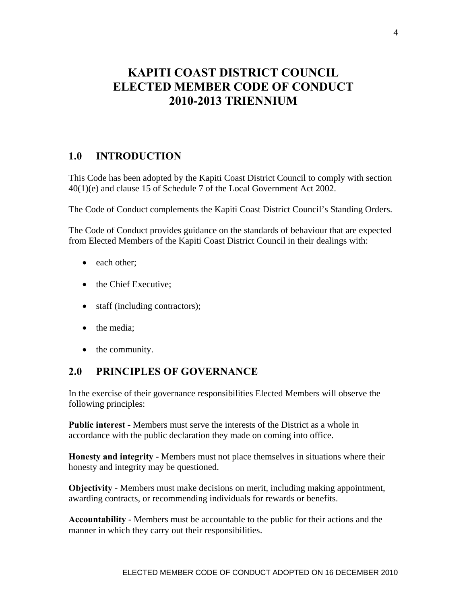# <span id="page-3-0"></span>**KAPITI COAST DISTRICT COUNCIL ELECTED MEMBER CODE OF CONDUCT 2010-2013 TRIENNIUM**

# **1.0 INTRODUCTION**

This Code has been adopted by the Kapiti Coast District Council to comply with section 40(1)(e) and clause 15 of Schedule 7 of the Local Government Act 2002.

The Code of Conduct complements the Kapiti Coast District Council's Standing Orders.

The Code of Conduct provides guidance on the standards of behaviour that are expected from Elected Members of the Kapiti Coast District Council in their dealings with:

- each other;
- the Chief Executive:
- staff (including contractors);
- the media;
- the community.

# **2.0 PRINCIPLES OF GOVERNANCE**

In the exercise of their governance responsibilities Elected Members will observe the following principles:

**Public interest -** Members must serve the interests of the District as a whole in accordance with the public declaration they made on coming into office.

**Honesty and integrity** - Members must not place themselves in situations where their honesty and integrity may be questioned.

**Objectivity** - Members must make decisions on merit, including making appointment, awarding contracts, or recommending individuals for rewards or benefits.

**Accountability** - Members must be accountable to the public for their actions and the manner in which they carry out their responsibilities.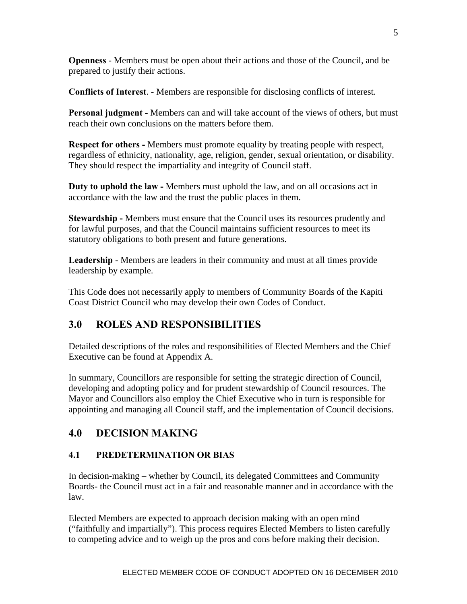<span id="page-4-0"></span>**Openness** - Members must be open about their actions and those of the Council, and be prepared to justify their actions.

**Conflicts of Interest**. - Members are responsible for disclosing conflicts of interest.

**Personal judgment -** Members can and will take account of the views of others, but must reach their own conclusions on the matters before them.

**Respect for others -** Members must promote equality by treating people with respect, regardless of ethnicity, nationality, age, religion, gender, sexual orientation, or disability. They should respect the impartiality and integrity of Council staff.

**Duty to uphold the law -** Members must uphold the law, and on all occasions act in accordance with the law and the trust the public places in them.

**Stewardship -** Members must ensure that the Council uses its resources prudently and for lawful purposes, and that the Council maintains sufficient resources to meet its statutory obligations to both present and future generations.

**Leadership** - Members are leaders in their community and must at all times provide leadership by example.

This Code does not necessarily apply to members of Community Boards of the Kapiti Coast District Council who may develop their own Codes of Conduct.

# **3.0 ROLES AND RESPONSIBILITIES**

Detailed descriptions of the roles and responsibilities of Elected Members and the Chief Executive can be found at Appendix A.

In summary, Councillors are responsible for setting the strategic direction of Council, developing and adopting policy and for prudent stewardship of Council resources. The Mayor and Councillors also employ the Chief Executive who in turn is responsible for appointing and managing all Council staff, and the implementation of Council decisions.

# **4.0 DECISION MAKING**

# **4.1 PREDETERMINATION OR BIAS**

In decision-making – whether by Council, its delegated Committees and Community Boards- the Council must act in a fair and reasonable manner and in accordance with the law.

Elected Members are expected to approach decision making with an open mind ("faithfully and impartially"). This process requires Elected Members to listen carefully to competing advice and to weigh up the pros and cons before making their decision.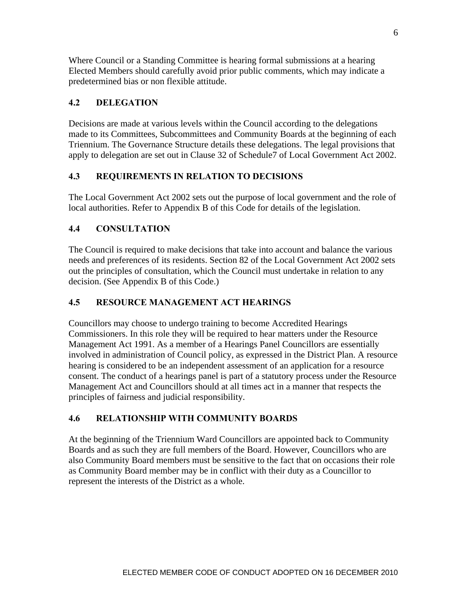<span id="page-5-0"></span>Where Council or a Standing Committee is hearing formal submissions at a hearing Elected Members should carefully avoid prior public comments, which may indicate a predetermined bias or non flexible attitude.

#### **4.2 DELEGATION**

Decisions are made at various levels within the Council according to the delegations made to its Committees, Subcommittees and Community Boards at the beginning of each Triennium. The Governance Structure details these delegations. The legal provisions that apply to delegation are set out in Clause 32 of Schedule7 of Local Government Act 2002.

#### **4.3 REQUIREMENTS IN RELATION TO DECISIONS**

The Local Government Act 2002 sets out the purpose of local government and the role of local authorities. Refer to Appendix B of this Code for details of the legislation.

#### **4.4 CONSULTATION**

The Council is required to make decisions that take into account and balance the various needs and preferences of its residents. Section 82 of the Local Government Act 2002 sets out the principles of consultation, which the Council must undertake in relation to any decision. (See Appendix B of this Code.)

#### **4.5 RESOURCE MANAGEMENT ACT HEARINGS**

Councillors may choose to undergo training to become Accredited Hearings Commissioners. In this role they will be required to hear matters under the Resource Management Act 1991. As a member of a Hearings Panel Councillors are essentially involved in administration of Council policy, as expressed in the District Plan. A resource hearing is considered to be an independent assessment of an application for a resource consent. The conduct of a hearings panel is part of a statutory process under the Resource Management Act and Councillors should at all times act in a manner that respects the principles of fairness and judicial responsibility.

#### **4.6 RELATIONSHIP WITH COMMUNITY BOARDS**

At the beginning of the Triennium Ward Councillors are appointed back to Community Boards and as such they are full members of the Board. However, Councillors who are also Community Board members must be sensitive to the fact that on occasions their role as Community Board member may be in conflict with their duty as a Councillor to represent the interests of the District as a whole.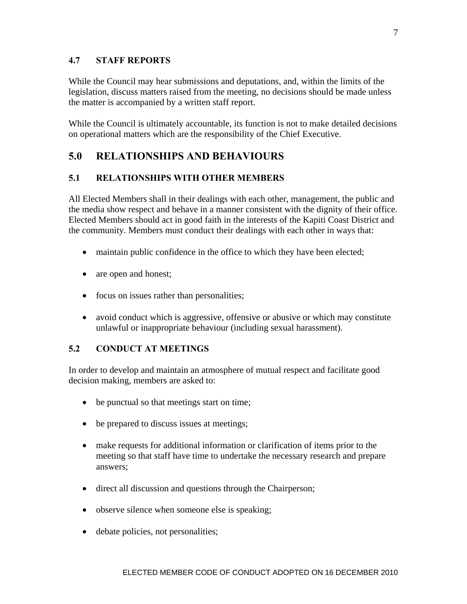#### <span id="page-6-0"></span>**4.7 STAFF REPORTS**

While the Council may hear submissions and deputations, and, within the limits of the legislation, discuss matters raised from the meeting, no decisions should be made unless the matter is accompanied by a written staff report.

While the Council is ultimately accountable, its function is not to make detailed decisions on operational matters which are the responsibility of the Chief Executive.

# **5.0 RELATIONSHIPS AND BEHAVIOURS**

#### **5.1 RELATIONSHIPS WITH OTHER MEMBERS**

All Elected Members shall in their dealings with each other, management, the public and the media show respect and behave in a manner consistent with the dignity of their office. Elected Members should act in good faith in the interests of the Kapiti Coast District and the community. Members must conduct their dealings with each other in ways that:

- maintain public confidence in the office to which they have been elected;
- are open and honest;
- focus on issues rather than personalities;
- avoid conduct which is aggressive, offensive or abusive or which may constitute unlawful or inappropriate behaviour (including sexual harassment).

#### **5.2 CONDUCT AT MEETINGS**

In order to develop and maintain an atmosphere of mutual respect and facilitate good decision making, members are asked to:

- be punctual so that meetings start on time;
- be prepared to discuss issues at meetings;
- make requests for additional information or clarification of items prior to the meeting so that staff have time to undertake the necessary research and prepare answers;
- direct all discussion and questions through the Chairperson;
- observe silence when someone else is speaking;
- debate policies, not personalities;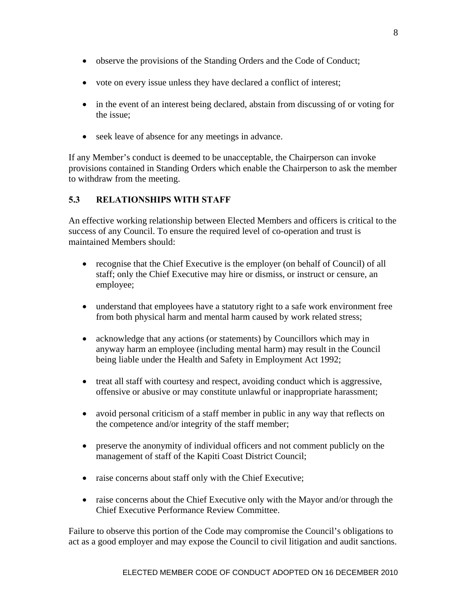- <span id="page-7-0"></span>• observe the provisions of the Standing Orders and the Code of Conduct;
- vote on every issue unless they have declared a conflict of interest;
- in the event of an interest being declared, abstain from discussing of or voting for the issue;
- seek leave of absence for any meetings in advance.

If any Member's conduct is deemed to be unacceptable, the Chairperson can invoke provisions contained in Standing Orders which enable the Chairperson to ask the member to withdraw from the meeting.

# **5.3 RELATIONSHIPS WITH STAFF**

An effective working relationship between Elected Members and officers is critical to the success of any Council. To ensure the required level of co-operation and trust is maintained Members should:

- recognise that the Chief Executive is the employer (on behalf of Council) of all staff; only the Chief Executive may hire or dismiss, or instruct or censure, an employee;
- understand that employees have a statutory right to a safe work environment free from both physical harm and mental harm caused by work related stress;
- acknowledge that any actions (or statements) by Councillors which may in anyway harm an employee (including mental harm) may result in the Council being liable under the Health and Safety in Employment Act 1992;
- treat all staff with courtesy and respect, avoiding conduct which is aggressive, offensive or abusive or may constitute unlawful or inappropriate harassment;
- avoid personal criticism of a staff member in public in any way that reflects on the competence and/or integrity of the staff member;
- preserve the anonymity of individual officers and not comment publicly on the management of staff of the Kapiti Coast District Council;
- raise concerns about staff only with the Chief Executive;
- raise concerns about the Chief Executive only with the Mayor and/or through the Chief Executive Performance Review Committee.

Failure to observe this portion of the Code may compromise the Council's obligations to act as a good employer and may expose the Council to civil litigation and audit sanctions.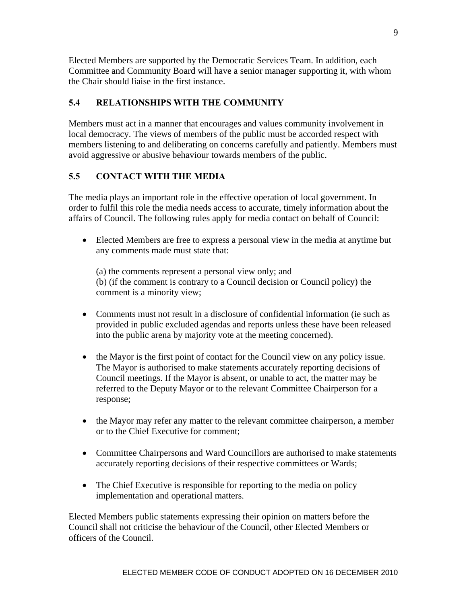<span id="page-8-0"></span>Elected Members are supported by the Democratic Services Team. In addition, each Committee and Community Board will have a senior manager supporting it, with whom the Chair should liaise in the first instance.

## **5.4 RELATIONSHIPS WITH THE COMMUNITY**

Members must act in a manner that encourages and values community involvement in local democracy. The views of members of the public must be accorded respect with members listening to and deliberating on concerns carefully and patiently. Members must avoid aggressive or abusive behaviour towards members of the public.

#### **5.5 CONTACT WITH THE MEDIA**

The media plays an important role in the effective operation of local government. In order to fulfil this role the media needs access to accurate, timely information about the affairs of Council. The following rules apply for media contact on behalf of Council:

• Elected Members are free to express a personal view in the media at anytime but any comments made must state that:

(a) the comments represent a personal view only; and (b) (if the comment is contrary to a Council decision or Council policy) the comment is a minority view;

- Comments must not result in a disclosure of confidential information (ie such as provided in public excluded agendas and reports unless these have been released into the public arena by majority vote at the meeting concerned).
- the Mayor is the first point of contact for the Council view on any policy issue. The Mayor is authorised to make statements accurately reporting decisions of Council meetings. If the Mayor is absent, or unable to act, the matter may be referred to the Deputy Mayor or to the relevant Committee Chairperson for a response;
- the Mayor may refer any matter to the relevant committee chairperson, a member or to the Chief Executive for comment;
- Committee Chairpersons and Ward Councillors are authorised to make statements accurately reporting decisions of their respective committees or Wards;
- The Chief Executive is responsible for reporting to the media on policy implementation and operational matters.

Elected Members public statements expressing their opinion on matters before the Council shall not criticise the behaviour of the Council, other Elected Members or officers of the Council.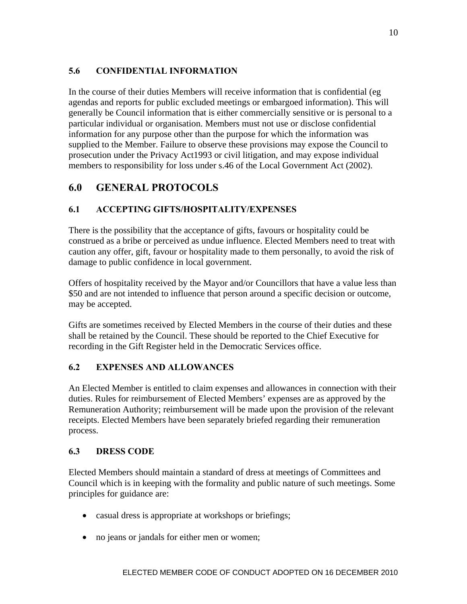# <span id="page-9-0"></span>**5.6 CONFIDENTIAL INFORMATION**

In the course of their duties Members will receive information that is confidential (eg agendas and reports for public excluded meetings or embargoed information). This will generally be Council information that is either commercially sensitive or is personal to a particular individual or organisation. Members must not use or disclose confidential information for any purpose other than the purpose for which the information was supplied to the Member. Failure to observe these provisions may expose the Council to prosecution under the Privacy Act1993 or civil litigation, and may expose individual members to responsibility for loss under s.46 of the Local Government Act (2002).

# **6.0 GENERAL PROTOCOLS**

# **6.1 ACCEPTING GIFTS/HOSPITALITY/EXPENSES**

There is the possibility that the acceptance of gifts, favours or hospitality could be construed as a bribe or perceived as undue influence. Elected Members need to treat with caution any offer, gift, favour or hospitality made to them personally, to avoid the risk of damage to public confidence in local government.

Offers of hospitality received by the Mayor and/or Councillors that have a value less than \$50 and are not intended to influence that person around a specific decision or outcome, may be accepted.

Gifts are sometimes received by Elected Members in the course of their duties and these shall be retained by the Council. These should be reported to the Chief Executive for recording in the Gift Register held in the Democratic Services office.

#### **6.2 EXPENSES AND ALLOWANCES**

An Elected Member is entitled to claim expenses and allowances in connection with their duties. Rules for reimbursement of Elected Members' expenses are as approved by the Remuneration Authority; reimbursement will be made upon the provision of the relevant receipts. Elected Members have been separately briefed regarding their remuneration process.

# **6.3 DRESS CODE**

Elected Members should maintain a standard of dress at meetings of Committees and Council which is in keeping with the formality and public nature of such meetings. Some principles for guidance are:

- casual dress is appropriate at workshops or briefings;
- no jeans or jandals for either men or women;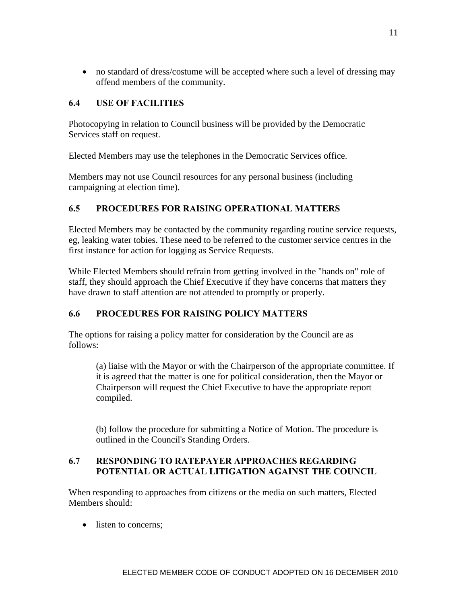<span id="page-10-0"></span>• no standard of dress/costume will be accepted where such a level of dressing may offend members of the community.

#### **6.4 USE OF FACILITIES**

Photocopying in relation to Council business will be provided by the Democratic Services staff on request.

Elected Members may use the telephones in the Democratic Services office.

Members may not use Council resources for any personal business (including campaigning at election time).

#### **6.5 PROCEDURES FOR RAISING OPERATIONAL MATTERS**

Elected Members may be contacted by the community regarding routine service requests, eg, leaking water tobies. These need to be referred to the customer service centres in the first instance for action for logging as Service Requests.

While Elected Members should refrain from getting involved in the "hands on" role of staff, they should approach the Chief Executive if they have concerns that matters they have drawn to staff attention are not attended to promptly or properly.

#### **6.6 PROCEDURES FOR RAISING POLICY MATTERS**

The options for raising a policy matter for consideration by the Council are as follows:

(a) liaise with the Mayor or with the Chairperson of the appropriate committee. If it is agreed that the matter is one for political consideration, then the Mayor or Chairperson will request the Chief Executive to have the appropriate report compiled.

(b) follow the procedure for submitting a Notice of Motion. The procedure is outlined in the Council's Standing Orders.

#### **6.7 RESPONDING TO RATEPAYER APPROACHES REGARDING POTENTIAL OR ACTUAL LITIGATION AGAINST THE COUNCIL**

When responding to approaches from citizens or the media on such matters, Elected Members should:

• listen to concerns;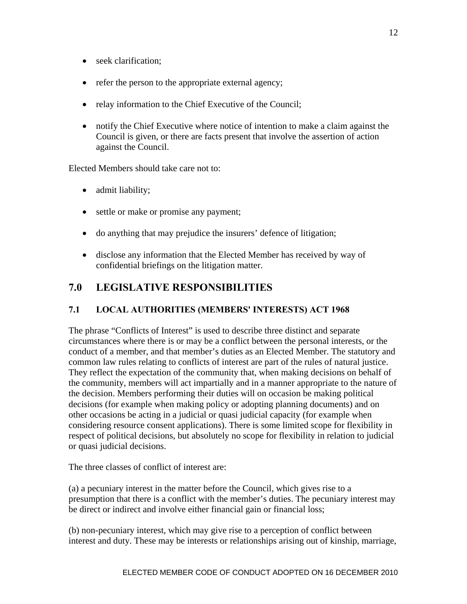- <span id="page-11-0"></span>• seek clarification;
- refer the person to the appropriate external agency;
- relay information to the Chief Executive of the Council;
- notify the Chief Executive where notice of intention to make a claim against the Council is given, or there are facts present that involve the assertion of action against the Council.

Elected Members should take care not to:

- admit liability;
- settle or make or promise any payment;
- do anything that may prejudice the insurers' defence of litigation;
- disclose any information that the Elected Member has received by way of confidential briefings on the litigation matter.

# **7.0 LEGISLATIVE RESPONSIBILITIES**

#### **7.1 LOCAL AUTHORITIES (MEMBERS' INTERESTS) ACT 1968**

The phrase "Conflicts of Interest" is used to describe three distinct and separate circumstances where there is or may be a conflict between the personal interests, or the conduct of a member, and that member's duties as an Elected Member. The statutory and common law rules relating to conflicts of interest are part of the rules of natural justice. They reflect the expectation of the community that, when making decisions on behalf of the community, members will act impartially and in a manner appropriate to the nature of the decision. Members performing their duties will on occasion be making political decisions (for example when making policy or adopting planning documents) and on other occasions be acting in a judicial or quasi judicial capacity (for example when considering resource consent applications). There is some limited scope for flexibility in respect of political decisions, but absolutely no scope for flexibility in relation to judicial or quasi judicial decisions.

The three classes of conflict of interest are:

(a) a pecuniary interest in the matter before the Council, which gives rise to a presumption that there is a conflict with the member's duties. The pecuniary interest may be direct or indirect and involve either financial gain or financial loss;

(b) non-pecuniary interest, which may give rise to a perception of conflict between interest and duty. These may be interests or relationships arising out of kinship, marriage,

12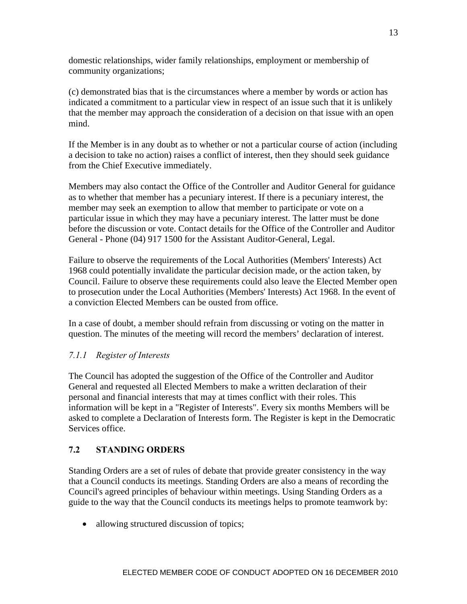<span id="page-12-0"></span>domestic relationships, wider family relationships, employment or membership of community organizations;

(c) demonstrated bias that is the circumstances where a member by words or action has indicated a commitment to a particular view in respect of an issue such that it is unlikely that the member may approach the consideration of a decision on that issue with an open mind.

If the Member is in any doubt as to whether or not a particular course of action (including a decision to take no action) raises a conflict of interest, then they should seek guidance from the Chief Executive immediately.

Members may also contact the Office of the Controller and Auditor General for guidance as to whether that member has a pecuniary interest. If there is a pecuniary interest, the member may seek an exemption to allow that member to participate or vote on a particular issue in which they may have a pecuniary interest. The latter must be done before the discussion or vote. Contact details for the Office of the Controller and Auditor General - Phone (04) 917 1500 for the Assistant Auditor-General, Legal.

Failure to observe the requirements of the Local Authorities (Members' Interests) Act 1968 could potentially invalidate the particular decision made, or the action taken, by Council. Failure to observe these requirements could also leave the Elected Member open to prosecution under the Local Authorities (Members' Interests) Act 1968. In the event of a conviction Elected Members can be ousted from office.

In a case of doubt, a member should refrain from discussing or voting on the matter in question. The minutes of the meeting will record the members' declaration of interest.

#### *7.1.1 Register of Interests*

The Council has adopted the suggestion of the Office of the Controller and Auditor General and requested all Elected Members to make a written declaration of their personal and financial interests that may at times conflict with their roles. This information will be kept in a "Register of Interests". Every six months Members will be asked to complete a Declaration of Interests form. The Register is kept in the Democratic Services office.

#### **7.2 STANDING ORDERS**

Standing Orders are a set of rules of debate that provide greater consistency in the way that a Council conducts its meetings. Standing Orders are also a means of recording the Council's agreed principles of behaviour within meetings. Using Standing Orders as a guide to the way that the Council conducts its meetings helps to promote teamwork by:

• allowing structured discussion of topics;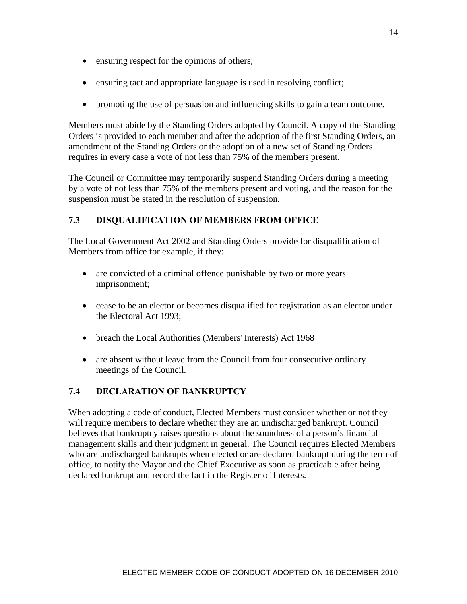- <span id="page-13-0"></span>• ensuring respect for the opinions of others;
- ensuring tact and appropriate language is used in resolving conflict;
- promoting the use of persuasion and influencing skills to gain a team outcome.

Members must abide by the Standing Orders adopted by Council. A copy of the Standing Orders is provided to each member and after the adoption of the first Standing Orders, an amendment of the Standing Orders or the adoption of a new set of Standing Orders requires in every case a vote of not less than 75% of the members present.

The Council or Committee may temporarily suspend Standing Orders during a meeting by a vote of not less than 75% of the members present and voting, and the reason for the suspension must be stated in the resolution of suspension.

#### **7.3 DISQUALIFICATION OF MEMBERS FROM OFFICE**

The Local Government Act 2002 and Standing Orders provide for disqualification of Members from office for example, if they:

- are convicted of a criminal offence punishable by two or more years imprisonment;
- cease to be an elector or becomes disqualified for registration as an elector under the Electoral Act 1993;
- breach the Local Authorities (Members' Interests) Act 1968
- are absent without leave from the Council from four consecutive ordinary meetings of the Council.

#### **7.4 DECLARATION OF BANKRUPTCY**

When adopting a code of conduct, Elected Members must consider whether or not they will require members to declare whether they are an undischarged bankrupt. Council believes that bankruptcy raises questions about the soundness of a person's financial management skills and their judgment in general. The Council requires Elected Members who are undischarged bankrupts when elected or are declared bankrupt during the term of office, to notify the Mayor and the Chief Executive as soon as practicable after being declared bankrupt and record the fact in the Register of Interests.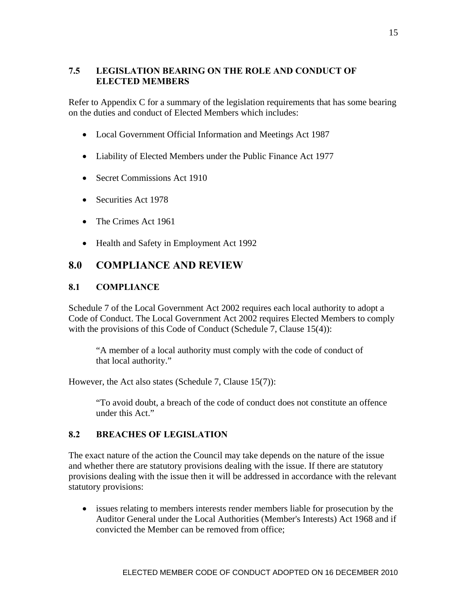#### <span id="page-14-0"></span>**7.5 LEGISLATION BEARING ON THE ROLE AND CONDUCT OF ELECTED MEMBERS**

Refer to Appendix C for a summary of the legislation requirements that has some bearing on the duties and conduct of Elected Members which includes:

- Local Government Official Information and Meetings Act 1987
- Liability of Elected Members under the Public Finance Act 1977
- Secret Commissions Act 1910
- Securities Act 1978
- The Crimes Act 1961
- Health and Safety in Employment Act 1992

# **8.0 COMPLIANCE AND REVIEW**

#### **8.1 COMPLIANCE**

Schedule 7 of the Local Government Act 2002 requires each local authority to adopt a Code of Conduct. The Local Government Act 2002 requires Elected Members to comply with the provisions of this Code of Conduct (Schedule 7, Clause 15(4)):

"A member of a local authority must comply with the code of conduct of that local authority."

However, the Act also states (Schedule 7, Clause 15(7)):

"To avoid doubt, a breach of the code of conduct does not constitute an offence under this Act."

#### **8.2 BREACHES OF LEGISLATION**

The exact nature of the action the Council may take depends on the nature of the issue and whether there are statutory provisions dealing with the issue. If there are statutory provisions dealing with the issue then it will be addressed in accordance with the relevant statutory provisions:

• issues relating to members interests render members liable for prosecution by the Auditor General under the Local Authorities (Member's Interests) Act 1968 and if convicted the Member can be removed from office;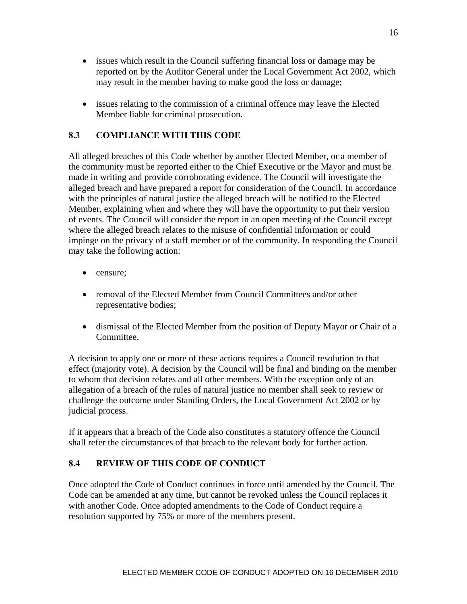- <span id="page-15-0"></span>• issues which result in the Council suffering financial loss or damage may be reported on by the Auditor General under the Local Government Act 2002, which may result in the member having to make good the loss or damage;
- issues relating to the commission of a criminal offence may leave the Elected Member liable for criminal prosecution.

#### **8.3 COMPLIANCE WITH THIS CODE**

All alleged breaches of this Code whether by another Elected Member, or a member of the community must be reported either to the Chief Executive or the Mayor and must be made in writing and provide corroborating evidence. The Council will investigate the alleged breach and have prepared a report for consideration of the Council. In accordance with the principles of natural justice the alleged breach will be notified to the Elected Member, explaining when and where they will have the opportunity to put their version of events. The Council will consider the report in an open meeting of the Council except where the alleged breach relates to the misuse of confidential information or could impinge on the privacy of a staff member or of the community. In responding the Council may take the following action:

- censure;
- removal of the Elected Member from Council Committees and/or other representative bodies;
- dismissal of the Elected Member from the position of Deputy Mayor or Chair of a Committee.

A decision to apply one or more of these actions requires a Council resolution to that effect (majority vote). A decision by the Council will be final and binding on the member to whom that decision relates and all other members. With the exception only of an allegation of a breach of the rules of natural justice no member shall seek to review or challenge the outcome under Standing Orders, the Local Government Act 2002 or by judicial process.

If it appears that a breach of the Code also constitutes a statutory offence the Council shall refer the circumstances of that breach to the relevant body for further action.

# **8.4 REVIEW OF THIS CODE OF CONDUCT**

Once adopted the Code of Conduct continues in force until amended by the Council. The Code can be amended at any time, but cannot be revoked unless the Council replaces it with another Code. Once adopted amendments to the Code of Conduct require a resolution supported by 75% or more of the members present.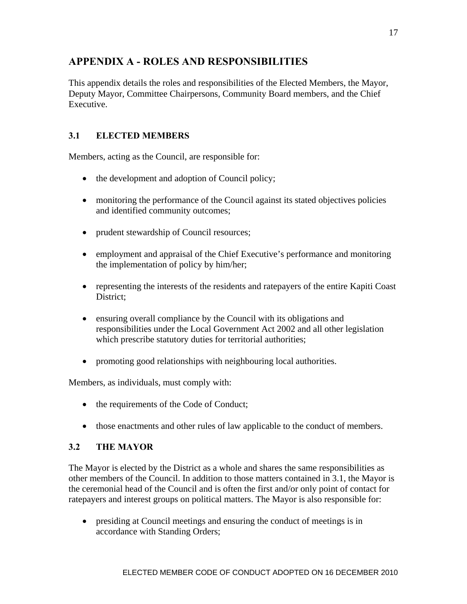# <span id="page-16-0"></span>**APPENDIX A - ROLES AND RESPONSIBILITIES**

This appendix details the roles and responsibilities of the Elected Members, the Mayor, Deputy Mayor, Committee Chairpersons, Community Board members, and the Chief Executive.

#### **3.1 ELECTED MEMBERS**

Members, acting as the Council, are responsible for:

- the development and adoption of Council policy;
- monitoring the performance of the Council against its stated objectives policies and identified community outcomes;
- prudent stewardship of Council resources;
- employment and appraisal of the Chief Executive's performance and monitoring the implementation of policy by him/her;
- representing the interests of the residents and ratepayers of the entire Kapiti Coast District;
- ensuring overall compliance by the Council with its obligations and responsibilities under the Local Government Act 2002 and all other legislation which prescribe statutory duties for territorial authorities;
- promoting good relationships with neighbouring local authorities.

Members, as individuals, must comply with:

- the requirements of the Code of Conduct;
- those enactments and other rules of law applicable to the conduct of members.

#### **3.2 THE MAYOR**

The Mayor is elected by the District as a whole and shares the same responsibilities as other members of the Council. In addition to those matters contained in 3.1, the Mayor is the ceremonial head of the Council and is often the first and/or only point of contact for ratepayers and interest groups on political matters. The Mayor is also responsible for:

• presiding at Council meetings and ensuring the conduct of meetings is in accordance with Standing Orders;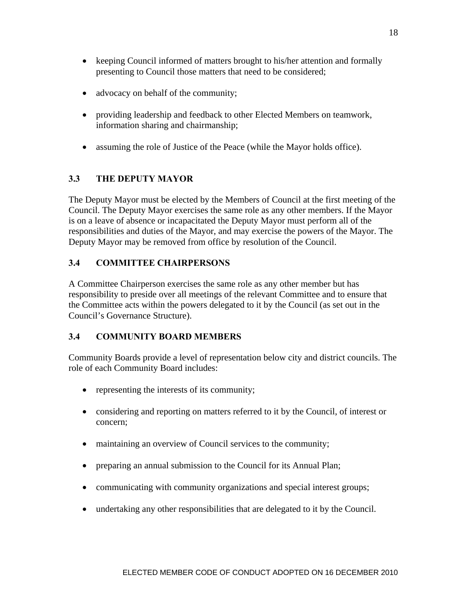- keeping Council informed of matters brought to his/her attention and formally presenting to Council those matters that need to be considered;
- advocacy on behalf of the community;
- providing leadership and feedback to other Elected Members on teamwork, information sharing and chairmanship;
- assuming the role of Justice of the Peace (while the Mayor holds office).

#### **3.3 THE DEPUTY MAYOR**

The Deputy Mayor must be elected by the Members of Council at the first meeting of the Council. The Deputy Mayor exercises the same role as any other members. If the Mayor is on a leave of absence or incapacitated the Deputy Mayor must perform all of the responsibilities and duties of the Mayor, and may exercise the powers of the Mayor. The Deputy Mayor may be removed from office by resolution of the Council.

#### **3.4 COMMITTEE CHAIRPERSONS**

A Committee Chairperson exercises the same role as any other member but has responsibility to preside over all meetings of the relevant Committee and to ensure that the Committee acts within the powers delegated to it by the Council (as set out in the Council's Governance Structure).

#### **3.4 COMMUNITY BOARD MEMBERS**

Community Boards provide a level of representation below city and district councils. The role of each Community Board includes:

- representing the interests of its community;
- considering and reporting on matters referred to it by the Council, of interest or concern;
- maintaining an overview of Council services to the community;
- preparing an annual submission to the Council for its Annual Plan;
- communicating with community organizations and special interest groups;
- undertaking any other responsibilities that are delegated to it by the Council.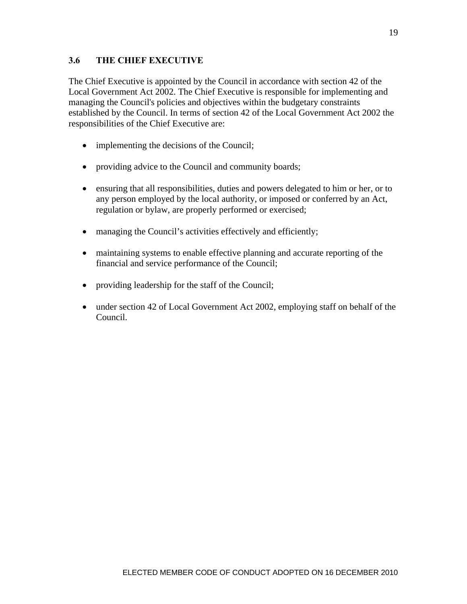#### **3.6 THE CHIEF EXECUTIVE**

The Chief Executive is appointed by the Council in accordance with section 42 of the Local Government Act 2002. The Chief Executive is responsible for implementing and managing the Council's policies and objectives within the budgetary constraints established by the Council. In terms of section 42 of the Local Government Act 2002 the responsibilities of the Chief Executive are:

- implementing the decisions of the Council;
- providing advice to the Council and community boards;
- ensuring that all responsibilities, duties and powers delegated to him or her, or to any person employed by the local authority, or imposed or conferred by an Act, regulation or bylaw, are properly performed or exercised;
- managing the Council's activities effectively and efficiently;
- maintaining systems to enable effective planning and accurate reporting of the financial and service performance of the Council;
- providing leadership for the staff of the Council;
- under section 42 of Local Government Act 2002, employing staff on behalf of the Council.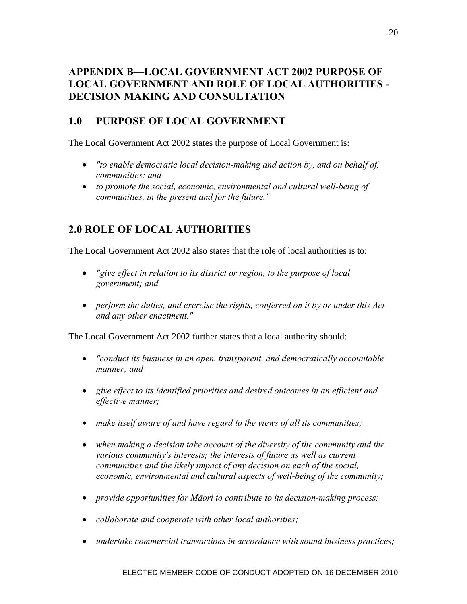# <span id="page-19-0"></span>**APPENDIX B—LOCAL GOVERNMENT ACT 2002 PURPOSE OF LOCAL GOVERNMENT AND ROLE OF LOCAL AUTHORITIES - DECISION MAKING AND CONSULTATION**

# **1.0 PURPOSE OF LOCAL GOVERNMENT**

The Local Government Act 2002 states the purpose of Local Government is:

- *"to enable democratic local decision-making and action by, and on behalf of, communities; and*
- *to promote the social, economic, environmental and cultural well-being of communities, in the present and for the future."*

# **2.0 ROLE OF LOCAL AUTHORITIES**

The Local Government Act 2002 also states that the role of local authorities is to:

- *"give effect in relation to its district or region, to the purpose of local government; and*
- *perform the duties, and exercise the rights, conferred on it by or under this Act and any other enactment."*

The Local Government Act 2002 further states that a local authority should:

- *"conduct its business in an open, transparent, and democratically accountable manner; and*
- *give effect to its identified priorities and desired outcomes in an efficient and effective manner;*
- *make itself aware of and have regard to the views of all its communities;*
- *when making a decision take account of the diversity of the community and the various community's interests; the interests of future as well as current communities and the likely impact of any decision on each of the social, economic, environmental and cultural aspects of well-being of the community;*
- *provide opportunities for Māori to contribute to its decision-making process;*
- *collaborate and cooperate with other local authorities;*
- *undertake commercial transactions in accordance with sound business practices;*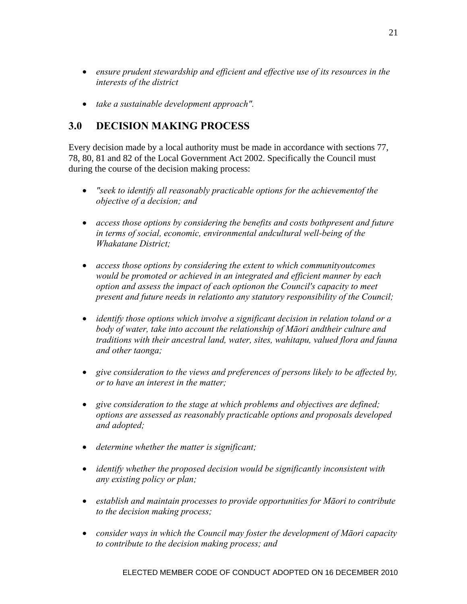- *ensure prudent stewardship and efficient and effective use of its resources in the interests of the district*
- *take a sustainable development approach".*

# **3.0 DECISION MAKING PROCESS**

Every decision made by a local authority must be made in accordance with sections 77, 78, 80, 81 and 82 of the Local Government Act 2002. Specifically the Council must during the course of the decision making process:

- *"seek to identify all reasonably practicable options for the achievementof the objective of a decision; and*
- *access those options by considering the benefits and costs bothpresent and future in terms of social, economic, environmental andcultural well-being of the Whakatane District;*
- *access those options by considering the extent to which communityoutcomes would be promoted or achieved in an integrated and efficient manner by each option and assess the impact of each optionon the Council's capacity to meet present and future needs in relationto any statutory responsibility of the Council;*
- *identify those options which involve a significant decision in relation toland or a body of water, take into account the relationship of Māori andtheir culture and traditions with their ancestral land, water, sites, wahitapu, valued flora and fauna and other taonga;*
- *give consideration to the views and preferences of persons likely to be affected by, or to have an interest in the matter;*
- *give consideration to the stage at which problems and objectives are defined; options are assessed as reasonably practicable options and proposals developed and adopted;*
- *determine whether the matter is significant;*
- *identify whether the proposed decision would be significantly inconsistent with any existing policy or plan;*
- *establish and maintain processes to provide opportunities for Māori to contribute to the decision making process;*
- *consider ways in which the Council may foster the development of Māori capacity to contribute to the decision making process; and*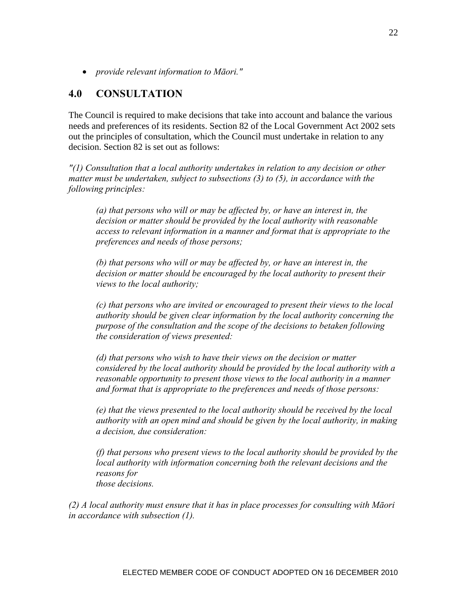• *provide relevant information to Māori."* 

## **4.0 CONSULTATION**

The Council is required to make decisions that take into account and balance the various needs and preferences of its residents. Section 82 of the Local Government Act 2002 sets out the principles of consultation, which the Council must undertake in relation to any decision. Section 82 is set out as follows:

*"(1) Consultation that a local authority undertakes in relation to any decision or other matter must be undertaken, subject to subsections (3) to (5), in accordance with the following principles:* 

*(a) that persons who will or may be affected by, or have an interest in, the decision or matter should be provided by the local authority with reasonable access to relevant information in a manner and format that is appropriate to the preferences and needs of those persons;* 

*(b) that persons who will or may be affected by, or have an interest in, the decision or matter should be encouraged by the local authority to present their views to the local authority;* 

*(c) that persons who are invited or encouraged to present their views to the local authority should be given clear information by the local authority concerning the purpose of the consultation and the scope of the decisions to betaken following the consideration of views presented:* 

*(d) that persons who wish to have their views on the decision or matter considered by the local authority should be provided by the local authority with a reasonable opportunity to present those views to the local authority in a manner and format that is appropriate to the preferences and needs of those persons:* 

*(e) that the views presented to the local authority should be received by the local authority with an open mind and should be given by the local authority, in making a decision, due consideration:* 

*(f) that persons who present views to the local authority should be provided by the local authority with information concerning both the relevant decisions and the reasons for those decisions.* 

*(2) A local authority must ensure that it has in place processes for consulting with Māori in accordance with subsection (1).*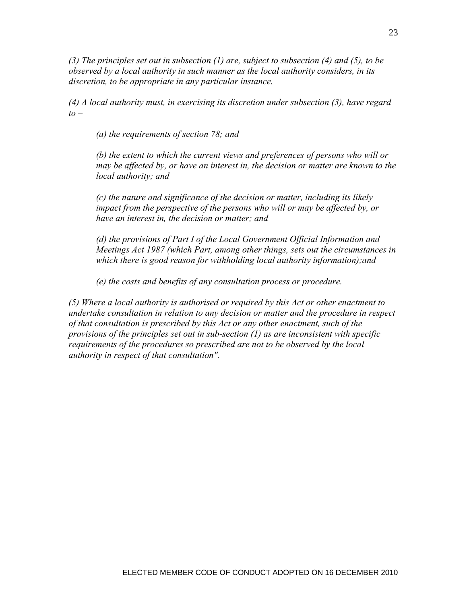*(3) The principles set out in subsection (1) are, subject to subsection (4) and (5), to be observed by a local authority in such manner as the local authority considers, in its discretion, to be appropriate in any particular instance.* 

*(4) A local authority must, in exercising its discretion under subsection (3), have regard*   $to -$ 

*(a) the requirements of section 78; and* 

*(b) the extent to which the current views and preferences of persons who will or may be affected by, or have an interest in, the decision or matter are known to the local authority; and* 

*(c) the nature and significance of the decision or matter, including its likely impact from the perspective of the persons who will or may be affected by, or have an interest in, the decision or matter; and* 

*(d) the provisions of Part I of the Local Government Official Information and Meetings Act 1987 (which Part, among other things, sets out the circumstances in which there is good reason for withholding local authority information);and* 

*(e) the costs and benefits of any consultation process or procedure.* 

*(5) Where a local authority is authorised or required by this Act or other enactment to undertake consultation in relation to any decision or matter and the procedure in respect of that consultation is prescribed by this Act or any other enactment, such of the provisions of the principles set out in sub-section (1) as are inconsistent with specific requirements of the procedures so prescribed are not to be observed by the local authority in respect of that consultation".*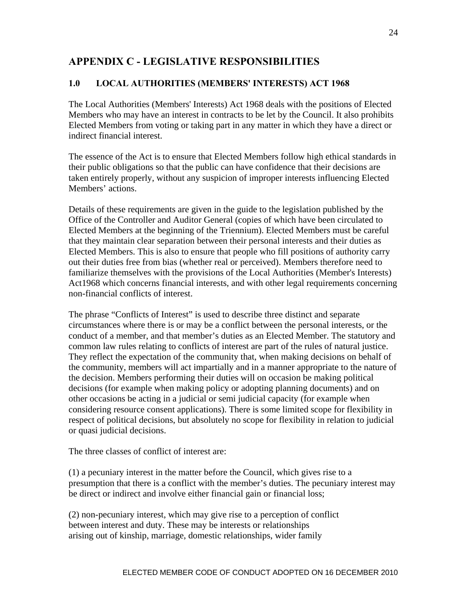# <span id="page-23-0"></span>**APPENDIX C - LEGISLATIVE RESPONSIBILITIES**

#### **1.0 LOCAL AUTHORITIES (MEMBERS' INTERESTS) ACT 1968**

The Local Authorities (Members' Interests) Act 1968 deals with the positions of Elected Members who may have an interest in contracts to be let by the Council. It also prohibits Elected Members from voting or taking part in any matter in which they have a direct or indirect financial interest.

The essence of the Act is to ensure that Elected Members follow high ethical standards in their public obligations so that the public can have confidence that their decisions are taken entirely properly, without any suspicion of improper interests influencing Elected Members' actions.

Details of these requirements are given in the guide to the legislation published by the Office of the Controller and Auditor General (copies of which have been circulated to Elected Members at the beginning of the Triennium). Elected Members must be careful that they maintain clear separation between their personal interests and their duties as Elected Members. This is also to ensure that people who fill positions of authority carry out their duties free from bias (whether real or perceived). Members therefore need to familiarize themselves with the provisions of the Local Authorities (Member's Interests) Act1968 which concerns financial interests, and with other legal requirements concerning non-financial conflicts of interest.

The phrase "Conflicts of Interest" is used to describe three distinct and separate circumstances where there is or may be a conflict between the personal interests, or the conduct of a member, and that member's duties as an Elected Member. The statutory and common law rules relating to conflicts of interest are part of the rules of natural justice. They reflect the expectation of the community that, when making decisions on behalf of the community, members will act impartially and in a manner appropriate to the nature of the decision. Members performing their duties will on occasion be making political decisions (for example when making policy or adopting planning documents) and on other occasions be acting in a judicial or semi judicial capacity (for example when considering resource consent applications). There is some limited scope for flexibility in respect of political decisions, but absolutely no scope for flexibility in relation to judicial or quasi judicial decisions.

The three classes of conflict of interest are:

(1) a pecuniary interest in the matter before the Council, which gives rise to a presumption that there is a conflict with the member's duties. The pecuniary interest may be direct or indirect and involve either financial gain or financial loss;

(2) non-pecuniary interest, which may give rise to a perception of conflict between interest and duty. These may be interests or relationships arising out of kinship, marriage, domestic relationships, wider family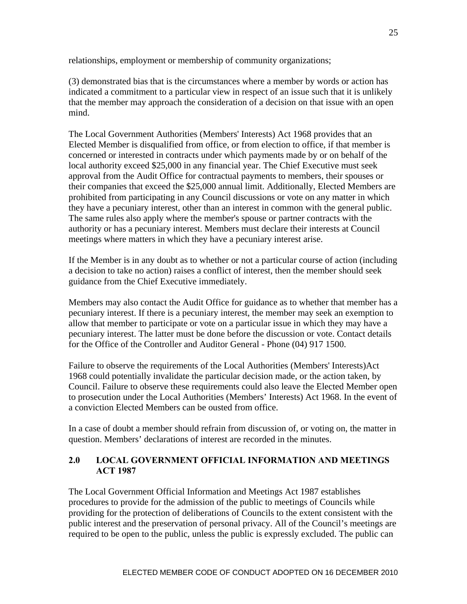relationships, employment or membership of community organizations;

(3) demonstrated bias that is the circumstances where a member by words or action has indicated a commitment to a particular view in respect of an issue such that it is unlikely that the member may approach the consideration of a decision on that issue with an open mind.

The Local Government Authorities (Members' Interests) Act 1968 provides that an Elected Member is disqualified from office, or from election to office, if that member is concerned or interested in contracts under which payments made by or on behalf of the local authority exceed \$25,000 in any financial year. The Chief Executive must seek approval from the Audit Office for contractual payments to members, their spouses or their companies that exceed the \$25,000 annual limit. Additionally, Elected Members are prohibited from participating in any Council discussions or vote on any matter in which they have a pecuniary interest, other than an interest in common with the general public. The same rules also apply where the member's spouse or partner contracts with the authority or has a pecuniary interest. Members must declare their interests at Council meetings where matters in which they have a pecuniary interest arise.

If the Member is in any doubt as to whether or not a particular course of action (including a decision to take no action) raises a conflict of interest, then the member should seek guidance from the Chief Executive immediately.

Members may also contact the Audit Office for guidance as to whether that member has a pecuniary interest. If there is a pecuniary interest, the member may seek an exemption to allow that member to participate or vote on a particular issue in which they may have a pecuniary interest. The latter must be done before the discussion or vote. Contact details for the Office of the Controller and Auditor General - Phone (04) 917 1500.

Failure to observe the requirements of the Local Authorities (Members' Interests)Act 1968 could potentially invalidate the particular decision made, or the action taken, by Council. Failure to observe these requirements could also leave the Elected Member open to prosecution under the Local Authorities (Members' Interests) Act 1968. In the event of a conviction Elected Members can be ousted from office.

In a case of doubt a member should refrain from discussion of, or voting on, the matter in question. Members' declarations of interest are recorded in the minutes.

#### **2.0 LOCAL GOVERNMENT OFFICIAL INFORMATION AND MEETINGS ACT 1987**

The Local Government Official Information and Meetings Act 1987 establishes procedures to provide for the admission of the public to meetings of Councils while providing for the protection of deliberations of Councils to the extent consistent with the public interest and the preservation of personal privacy. All of the Council's meetings are required to be open to the public, unless the public is expressly excluded. The public can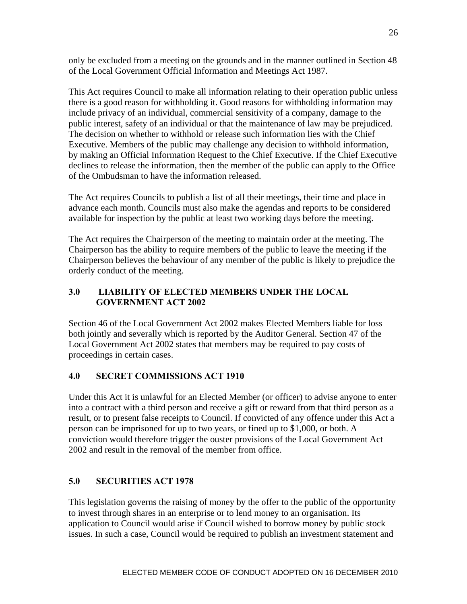only be excluded from a meeting on the grounds and in the manner outlined in Section 48 of the Local Government Official Information and Meetings Act 1987.

This Act requires Council to make all information relating to their operation public unless there is a good reason for withholding it. Good reasons for withholding information may include privacy of an individual, commercial sensitivity of a company, damage to the public interest, safety of an individual or that the maintenance of law may be prejudiced. The decision on whether to withhold or release such information lies with the Chief Executive. Members of the public may challenge any decision to withhold information, by making an Official Information Request to the Chief Executive. If the Chief Executive declines to release the information, then the member of the public can apply to the Office of the Ombudsman to have the information released.

The Act requires Councils to publish a list of all their meetings, their time and place in advance each month. Councils must also make the agendas and reports to be considered available for inspection by the public at least two working days before the meeting.

The Act requires the Chairperson of the meeting to maintain order at the meeting. The Chairperson has the ability to require members of the public to leave the meeting if the Chairperson believes the behaviour of any member of the public is likely to prejudice the orderly conduct of the meeting.

#### **3.0 LIABILITY OF ELECTED MEMBERS UNDER THE LOCAL GOVERNMENT ACT 2002**

Section 46 of the Local Government Act 2002 makes Elected Members liable for loss both jointly and severally which is reported by the Auditor General. Section 47 of the Local Government Act 2002 states that members may be required to pay costs of proceedings in certain cases.

# **4.0 SECRET COMMISSIONS ACT 1910**

Under this Act it is unlawful for an Elected Member (or officer) to advise anyone to enter into a contract with a third person and receive a gift or reward from that third person as a result, or to present false receipts to Council. If convicted of any offence under this Act a person can be imprisoned for up to two years, or fined up to \$1,000, or both. A conviction would therefore trigger the ouster provisions of the Local Government Act 2002 and result in the removal of the member from office.

#### **5.0 SECURITIES ACT 1978**

This legislation governs the raising of money by the offer to the public of the opportunity to invest through shares in an enterprise or to lend money to an organisation. Its application to Council would arise if Council wished to borrow money by public stock issues. In such a case, Council would be required to publish an investment statement and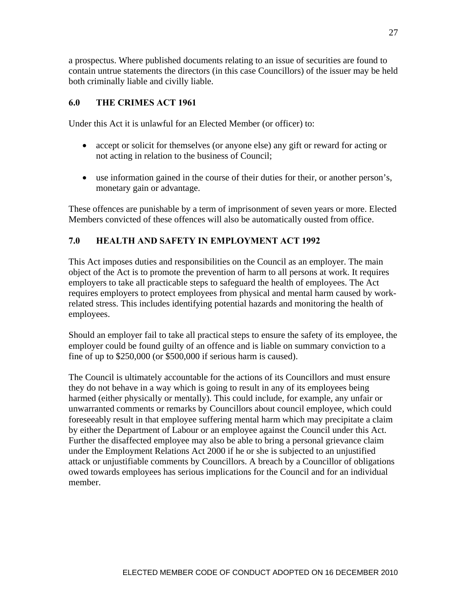a prospectus. Where published documents relating to an issue of securities are found to contain untrue statements the directors (in this case Councillors) of the issuer may be held both criminally liable and civilly liable.

#### **6.0 THE CRIMES ACT 1961**

Under this Act it is unlawful for an Elected Member (or officer) to:

- accept or solicit for themselves (or anyone else) any gift or reward for acting or not acting in relation to the business of Council;
- use information gained in the course of their duties for their, or another person's, monetary gain or advantage.

These offences are punishable by a term of imprisonment of seven years or more. Elected Members convicted of these offences will also be automatically ousted from office.

#### **7.0 HEALTH AND SAFETY IN EMPLOYMENT ACT 1992**

This Act imposes duties and responsibilities on the Council as an employer. The main object of the Act is to promote the prevention of harm to all persons at work. It requires employers to take all practicable steps to safeguard the health of employees. The Act requires employers to protect employees from physical and mental harm caused by workrelated stress. This includes identifying potential hazards and monitoring the health of employees.

Should an employer fail to take all practical steps to ensure the safety of its employee, the employer could be found guilty of an offence and is liable on summary conviction to a fine of up to \$250,000 (or \$500,000 if serious harm is caused).

The Council is ultimately accountable for the actions of its Councillors and must ensure they do not behave in a way which is going to result in any of its employees being harmed (either physically or mentally). This could include, for example, any unfair or unwarranted comments or remarks by Councillors about council employee, which could foreseeably result in that employee suffering mental harm which may precipitate a claim by either the Department of Labour or an employee against the Council under this Act. Further the disaffected employee may also be able to bring a personal grievance claim under the Employment Relations Act 2000 if he or she is subjected to an unjustified attack or unjustifiable comments by Councillors. A breach by a Councillor of obligations owed towards employees has serious implications for the Council and for an individual member.